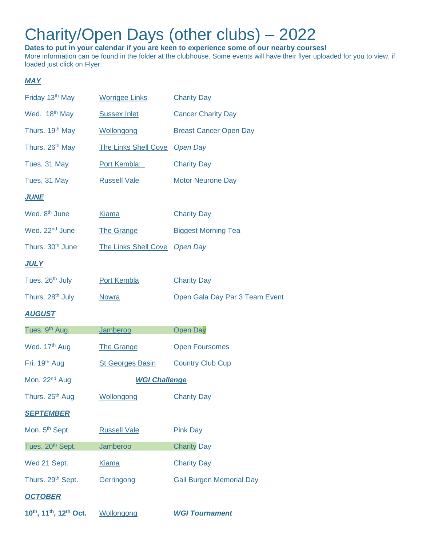## Charity/Open Days (other clubs) – 2022

**Dates to put in your calendar if you are keen to experience some of our nearby courses!** More information can be found in the folder at the clubhouse. Some events will have their flyer uploaded for you to view, if loaded just click on Flyer.

## *MAY*

| Friday 13 <sup>th</sup> May                                 | <b>Worrigee Links</b>       | <b>Charity Day</b>              |
|-------------------------------------------------------------|-----------------------------|---------------------------------|
| Wed. 18th May                                               | <b>Sussex Inlet</b>         | <b>Cancer Charity Day</b>       |
| Thurs. 19th May                                             | Wollongong                  | <b>Breast Cancer Open Day</b>   |
| Thurs. 26th May                                             | <b>The Links Shell Cove</b> | <b>Open Day</b>                 |
| Tues, 31 May                                                | Port Kembla:                | <b>Charity Day</b>              |
| Tues, 31 May                                                | <b>Russell Vale</b>         | <b>Motor Neurone Day</b>        |
| <b>JUNE</b>                                                 |                             |                                 |
| Wed. 8 <sup>th</sup> June                                   | Kiama                       | <b>Charity Day</b>              |
| Wed. 22 <sup>nd</sup> June                                  | <b>The Grange</b>           | <b>Biggest Morning Tea</b>      |
| Thurs. 30 <sup>th</sup> June                                | <b>The Links Shell Cove</b> | <b>Open Day</b>                 |
| <u>JULY</u>                                                 |                             |                                 |
| Tues. 26 <sup>th</sup> July                                 | <b>Port Kembla</b>          | <b>Charity Day</b>              |
| Thurs. 28th July                                            | <b>Nowra</b>                | Open Gala Day Par 3 Team Event  |
| <b>AUGUST</b>                                               |                             |                                 |
| Tues. 9 <sup>th</sup> Aug.                                  | Jamberoo                    | <b>Open Day</b>                 |
| Wed. 17 <sup>th</sup> Aug                                   | <b>The Grange</b>           | <b>Open Foursomes</b>           |
| Fri. 19 <sup>th</sup> Aug                                   | <b>St Georges Basin</b>     | <b>Country Club Cup</b>         |
| Mon. 22 <sup>nd</sup> Aug                                   | <b>WGI Challenge</b>        |                                 |
| Thurs. 25th Aug                                             | Wollongong                  | <b>Charity Day</b>              |
| <b>SEPTEMBER</b>                                            |                             |                                 |
| Mon. 5 <sup>th</sup> Sept                                   | <b>Russell Vale</b>         | <b>Pink Day</b>                 |
| Tues. 20 <sup>th</sup> Sept.                                | Jamberoo                    | <b>Charity Day</b>              |
| Wed 21 Sept.                                                | <b>Kiama</b>                | <b>Charity Day</b>              |
| Thurs. 29 <sup>th</sup> Sept.                               | Gerringong                  | <b>Gail Burgen Memorial Day</b> |
| <b>OCTOBER</b>                                              |                             |                                 |
| 10 <sup>th</sup> , 11 <sup>th</sup> , 12 <sup>th</sup> Oct. | Wollongong                  | <b>WGI Tournament</b>           |